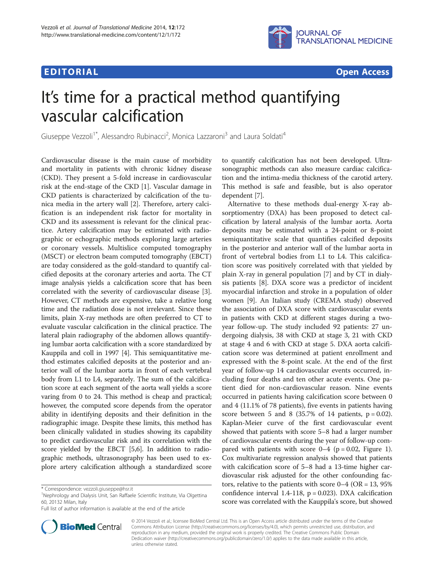## Edition in the control of the control of the control of the control of the control of the control of the control of the control of the control of the control of the control of the control of the control of the control of t



# It's time for a practical method quantifying vascular calcification

Giuseppe Vezzoli<sup>1\*</sup>, Alessandro Rubinacci<sup>2</sup>, Monica Lazzaroni<sup>3</sup> and Laura Soldati<sup>4</sup>

Cardiovascular disease is the main cause of morbidity and mortality in patients with chronic kidney disease (CKD). They present a 5-fold increase in cardiovascular risk at the end-stage of the CKD [\[1\]](#page-1-0). Vascular damage in CKD patients is characterized by calcification of the tunica media in the artery wall [\[2](#page-1-0)]. Therefore, artery calcification is an independent risk factor for mortality in CKD and its assessment is relevant for the clinical practice. Artery calcification may be estimated with radiographic or echographic methods exploring large arteries or coronary vessels. Multislice computed tomography (MSCT) or electron beam computed tomography (EBCT) are today considered as the gold-standard to quantify calcified deposits at the coronary arteries and aorta. The CT image analysis yields a calcification score that has been correlated with the severity of cardiovascular disease [[3](#page-1-0)]. However, CT methods are expensive, take a relative long time and the radiation dose is not irrelevant. Since these limits, plain X-ray methods are often preferred to CT to evaluate vascular calcification in the clinical practice. The lateral plain radiography of the abdomen allows quantifying lumbar aorta calcification with a score standardized by Kauppila and coll in 1997 [\[4\]](#page-1-0). This semiquantitative method estimates calcified deposits at the posterior and anterior wall of the lumbar aorta in front of each vertebral body from L1 to L4, separately. The sum of the calcification score at each segment of the aorta wall yields a score varing from 0 to 24. This method is cheap and practical; however, the computed score depends from the operator ability in identifying deposits and their definition in the radiographic image. Despite these limits, this method has been clinically validated in studies showing its capability to predict cardiovascular risk and its correlation with the score yielded by the EBCT [\[5,6\]](#page-1-0). In addition to radiographic methods, ultrasonography has been used to explore artery calcification although a standardized score

Full list of author information is available at the end of the article



to quantify calcification has not been developed. Ultrasonographic methods can also measure cardiac calcification and the intima-media thickness of the carotid artery. This method is safe and feasible, but is also operator dependent [\[7](#page-1-0)].

Alternative to these methods dual-energy X-ray absorptiomentry (DXA) has been proposed to detect calcification by lateral analysis of the lumbar aorta. Aorta deposits may be estimated with a 24-point or 8-point semiquantitative scale that quantifies calcified deposits in the posterior and anterior wall of the lumbar aorta in front of vertebral bodies from L1 to L4. This calcification score was positively correlated with that yielded by plain X-ray in general population [\[7\]](#page-1-0) and by CT in dialysis patients [[8\]](#page-1-0). DXA score was a predictor of incident myocardial infarction and stroke in a population of older women [\[9](#page-1-0)]. An Italian study (CREMA study) observed the association of DXA score with cardiovascular events in patients with CKD at different stages during a twoyear follow-up. The study included 92 patients: 27 undergoing dialysis, 38 with CKD at stage 3, 21 with CKD at stage 4 and 6 with CKD at stage 5. DXA aorta calcification score was determined at patient enrollment and expressed with the 8-point scale. At the end of the first year of follow-up 14 cardiovascular events occurred, including four deaths and ten other acute events. One patient died for non-cardiovascular reason. Nine events occurred in patients having calcification score between 0 and 4 (11.1% of 78 patients), five events in patients having score between 5 and 8  $(35.7\% \text{ of } 14 \text{ patients}, p = 0.02)$ . Kaplan-Meier curve of the first cardiovascular event showed that patients with score 5–8 had a larger number of cardiovascular events during the year of follow-up compared with patients with score  $0-4$  (p = 0.02, Figure [1](#page-1-0)). Cox multivariate regression analysis showed that patients with calcification score of 5–8 had a 13-time higher cardiovascular risk adjusted for the other confounding factors, relative to the patients with score  $0-4$  (OR = 13, 95%) confidence interval 1.4-118,  $p = 0.023$ ). DXA calcification score was correlated with the Kauppila's score, but showed

© 2014 Vezzoli et al.; licensee BioMed Central Ltd. This is an Open Access article distributed under the terms of the Creative Commons Attribution License [\(http://creativecommons.org/licenses/by/4.0\)](http://creativecommons.org/licenses/by/4.0), which permits unrestricted use, distribution, and reproduction in any medium, provided the original work is properly credited. The Creative Commons Public Domain Dedication waiver [\(http://creativecommons.org/publicdomain/zero/1.0/](http://creativecommons.org/publicdomain/zero/1.0/)) applies to the data made available in this article, unless otherwise stated.

<sup>\*</sup> Correspondence: [vezzoli.giuseppe@hsr.it](mailto:vezzoli.giuseppe@hsr.it) <sup>1</sup>

<sup>&</sup>lt;sup>1</sup>Nephrology and Dialysis Unit, San Raffaele Scientific Institute, Via Olgettina 60, 20132 Milan, Italy